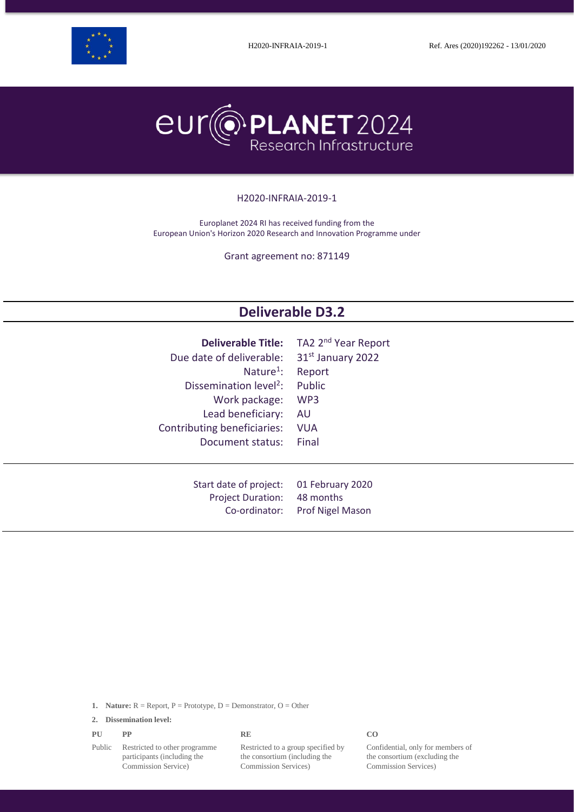



#### H2020-INFRAIA-2019-1

Europlanet 2024 RI has received funding from the European Union's Horizon 2020 Research and Innovation Programme under

Grant agreement no: 871149

# **Deliverable D3.2**

| <b>Deliverable Title:</b>          | TA2 2 <sup>nd</sup> Year Report |
|------------------------------------|---------------------------------|
| Due date of deliverable:           | 31 <sup>st</sup> January 2022   |
| Nature <sup>1</sup> :              | Report                          |
| Dissemination level <sup>2</sup> : | Public                          |
| Work package:                      | WP3                             |
| Lead beneficiary:                  | AU.                             |
| Contributing beneficiaries:        | <b>VUA</b>                      |
| Document status:                   | Final                           |
|                                    |                                 |
|                                    |                                 |
| Start date of project:             | 01 February 2020                |
| <b>Project Duration:</b>           | 48 months                       |
| Co-ordinator:                      | <b>Prof Nigel Mason</b>         |

**1. Nature:**  $R =$  Report,  $P =$  Prototype,  $D =$  Demonstrator,  $O =$  Other

**2. Dissemination level:**

| PU | PP | <b>RE</b> | CO |
|----|----|-----------|----|
|    |    |           |    |

Public Restricted to other programme participants (including the Commission Service)

Restricted to a group specified by the consortium (including the Commission Services)

Confidential, only for members of the consortium (excluding the Commission Services)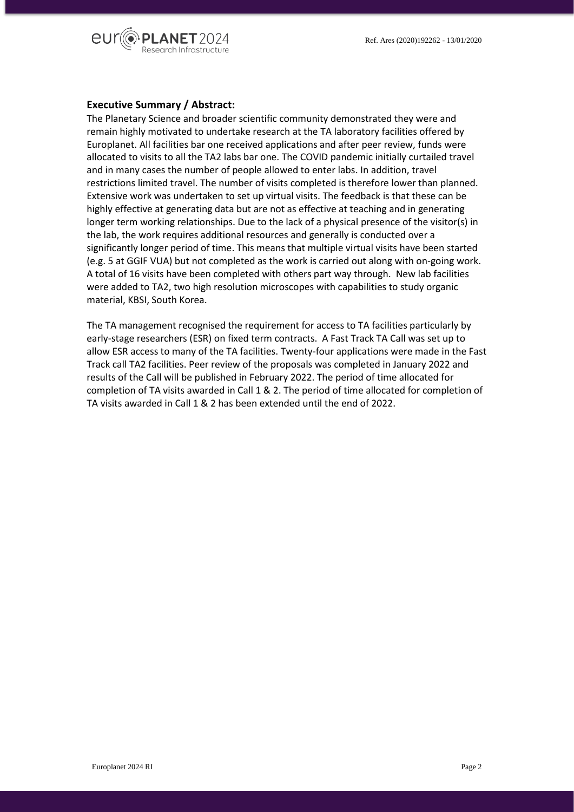

#### **Executive Summary / Abstract:**

The Planetary Science and broader scientific community demonstrated they were and remain highly motivated to undertake research at the TA laboratory facilities offered by Europlanet. All facilities bar one received applications and after peer review, funds were allocated to visits to all the TA2 labs bar one. The COVID pandemic initially curtailed travel and in many cases the number of people allowed to enter labs. In addition, travel restrictions limited travel. The number of visits completed is therefore lower than planned. Extensive work was undertaken to set up virtual visits. The feedback is that these can be highly effective at generating data but are not as effective at teaching and in generating longer term working relationships. Due to the lack of a physical presence of the visitor(s) in the lab, the work requires additional resources and generally is conducted over a significantly longer period of time. This means that multiple virtual visits have been started (e.g. 5 at GGIF VUA) but not completed as the work is carried out along with on-going work. A total of 16 visits have been completed with others part way through. New lab facilities were added to TA2, two high resolution microscopes with capabilities to study organic material, KBSI, South Korea.

The TA management recognised the requirement for access to TA facilities particularly by early-stage researchers (ESR) on fixed term contracts. A Fast Track TA Call was set up to allow ESR access to many of the TA facilities. Twenty-four applications were made in the Fast Track call TA2 facilities. Peer review of the proposals was completed in January 2022 and results of the Call will be published in February 2022. The period of time allocated for completion of TA visits awarded in Call 1 & 2. The period of time allocated for completion of TA visits awarded in Call 1 & 2 has been extended until the end of 2022.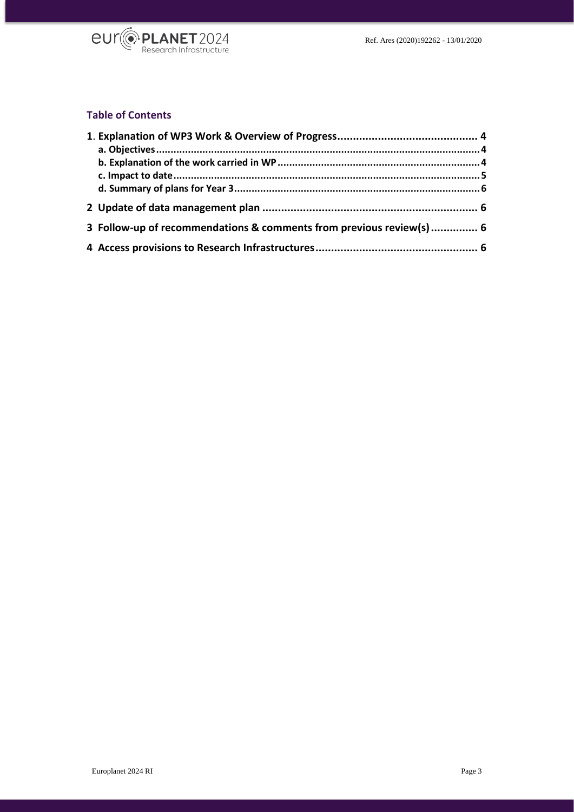

# **Table of Contents**

| 3 Follow-up of recommendations & comments from previous review(s)  6 |  |  |
|----------------------------------------------------------------------|--|--|
|                                                                      |  |  |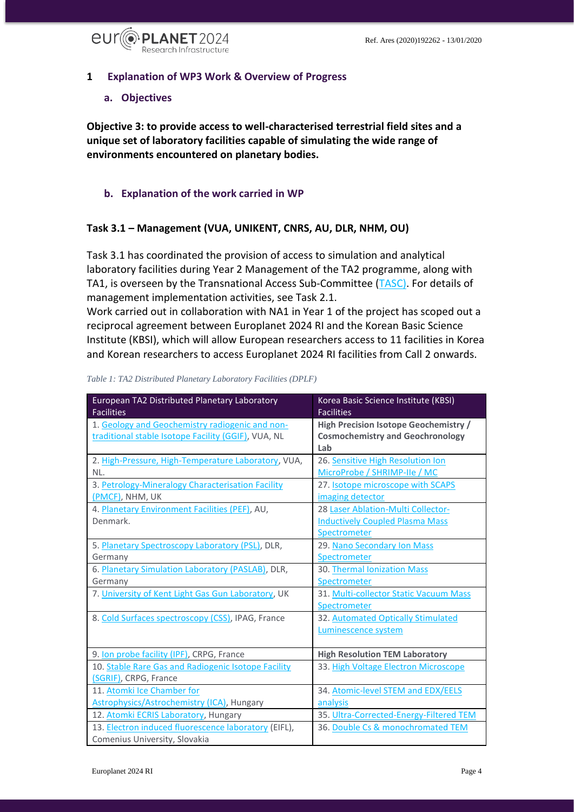

# <span id="page-3-0"></span>**1 Explanation of WP3 Work & Overview of Progress**

#### <span id="page-3-1"></span>**a. Objectives**

**Objective 3: to provide access to well-characterised terrestrial field sites and a unique set of laboratory facilities capable of simulating the wide range of environments encountered on planetary bodies.**

# <span id="page-3-2"></span>**b. Explanation of the work carried in WP**

# **Task 3.1 – Management (VUA, UNIKENT, CNRS, AU, DLR, NHM, OU)**

Task 3.1 has coordinated the provision of access to simulation and analytical laboratory facilities during Year 2 Management of the TA2 programme, along with TA1, is overseen by the Transnational Access Sub-Committee [\(TASC\)](https://www.europlanet-society.org/europlanet-2024-ri/europlanet-2024-ri-committees/#TASC). For details of management implementation activities, see Task 2.1.

Work carried out in collaboration with NA1 in Year 1 of the project has scoped out a reciprocal agreement between Europlanet 2024 RI and the Korean Basic Science Institute (KBSI), which will allow European researchers access to 11 facilities in Korea and Korean researchers to access Europlanet 2024 RI facilities from Call 2 onwards.

| European TA2 Distributed Planetary Laboratory<br><b>Facilities</b> | Korea Basic Science Institute (KBSI)<br><b>Facilities</b> |
|--------------------------------------------------------------------|-----------------------------------------------------------|
| 1. Geology and Geochemistry radiogenic and non-                    | <b>High Precision Isotope Geochemistry /</b>              |
| traditional stable Isotope Facility (GGIF), VUA, NL                | <b>Cosmochemistry and Geochronology</b>                   |
|                                                                    | Lab                                                       |
| 2. High-Pressure, High-Temperature Laboratory, VUA,                | 26. Sensitive High Resolution Ion                         |
| NL.                                                                | MicroProbe / SHRIMP-IIe / MC                              |
| 3. Petrology-Mineralogy Characterisation Facility                  | 27. Isotope microscope with SCAPS                         |
| (PMCF), NHM, UK                                                    | imaging detector                                          |
| 4. Planetary Environment Facilities (PEF), AU,                     | 28 Laser Ablation-Multi Collector-                        |
| Denmark.                                                           | <b>Inductively Coupled Plasma Mass</b>                    |
|                                                                    | Spectrometer                                              |
| 5. Planetary Spectroscopy Laboratory (PSL), DLR,                   | 29. Nano Secondary Ion Mass                               |
| Germany                                                            | Spectrometer                                              |
| 6. Planetary Simulation Laboratory (PASLAB), DLR,                  | 30. Thermal Ionization Mass                               |
| Germany                                                            | Spectrometer                                              |
| 7. University of Kent Light Gas Gun Laboratory, UK                 | 31. Multi-collector Static Vacuum Mass                    |
|                                                                    | Spectrometer                                              |
| 8. Cold Surfaces spectroscopy (CSS), IPAG, France                  | 32. Automated Optically Stimulated                        |
|                                                                    | Luminescence system                                       |
|                                                                    |                                                           |
| 9. Ion probe facility (IPF), CRPG, France                          | <b>High Resolution TEM Laboratory</b>                     |
| 10. Stable Rare Gas and Radiogenic Isotope Facility                | 33. High Voltage Electron Microscope                      |
| (SGRIF), CRPG, France                                              |                                                           |
| 11. Atomki Ice Chamber for                                         | 34. Atomic-level STEM and EDX/EELS                        |
| <b>Astrophysics/Astrochemistry (ICA)</b> , Hungary                 | analysis                                                  |
| 12. Atomki ECRIS Laboratory, Hungary                               | 35. Ultra-Corrected-Energy-Filtered TEM                   |
| 13. Electron induced fluorescence laboratory (EIFL),               | 36. Double Cs & monochromated TEM                         |
| Comenius University, Slovakia                                      |                                                           |

*Table 1: TA2 Distributed Planetary Laboratory Facilities (DPLF)*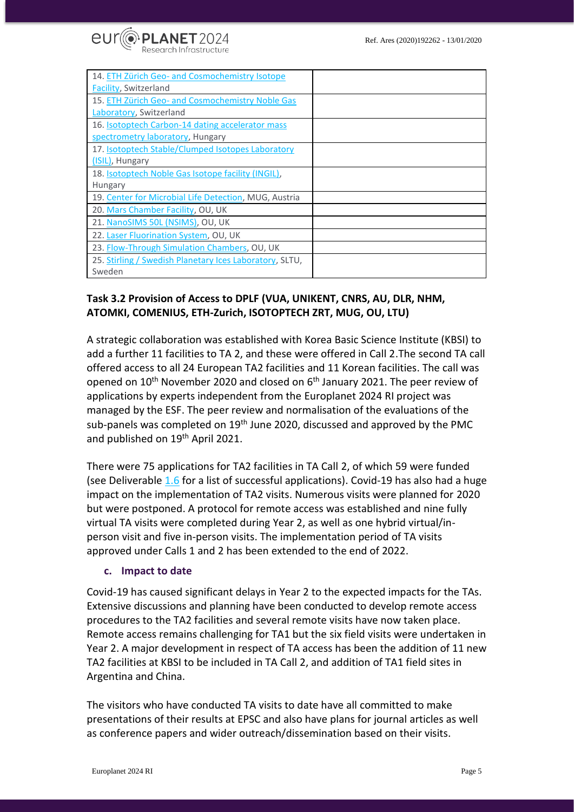

| 14. ETH Zürich Geo- and Cosmochemistry Isotope          |  |
|---------------------------------------------------------|--|
| <b>Facility</b> , Switzerland                           |  |
| 15. ETH Zürich Geo- and Cosmochemistry Noble Gas        |  |
| Laboratory, Switzerland                                 |  |
| 16. <b>Isotoptech Carbon-14 dating accelerator mass</b> |  |
| spectrometry laboratory, Hungary                        |  |
| 17. Isotoptech Stable/Clumped Isotopes Laboratory       |  |
| (ISIL), Hungary                                         |  |
| 18. Isotoptech Noble Gas Isotope facility (INGIL),      |  |
| <b>Hungary</b>                                          |  |
| 19. Center for Microbial Life Detection, MUG, Austria   |  |
| 20. Mars Chamber Facility, OU, UK                       |  |
| 21. NanoSIMS 50L (NSIMS), OU, UK                        |  |
| 22. Laser Fluorination System, OU, UK                   |  |
| 23. Flow-Through Simulation Chambers, OU, UK            |  |
| 25. Stirling / Swedish Planetary Ices Laboratory, SLTU, |  |
| Sweden                                                  |  |

# **Task 3.2 Provision of Access to DPLF (VUA, UNIKENT, CNRS, AU, DLR, NHM, ATOMKI, COMENIUS, ETH-Zurich, ISOTOPTECH ZRT, MUG, OU, LTU)**

A strategic collaboration was established with Korea Basic Science Institute (KBSI) to add a further 11 facilities to TA 2, and these were offered in Call 2.The second TA call offered access to all 24 European TA2 facilities and 11 Korean facilities. The call was opened on 10<sup>th</sup> November 2020 and closed on 6<sup>th</sup> January 2021. The peer review of applications by experts independent from the Europlanet 2024 RI project was managed by the ESF. The peer review and normalisation of the evaluations of the sub-panels was completed on 19<sup>th</sup> June 2020, discussed and approved by the PMC and published on 19<sup>th</sup> April 2021.

There were 75 applications for TA2 facilities in TA Call 2, of which 59 were funded (see [Deliverable 1.6](https://www.europlanet-society.org/wp-content/uploads/2021/10/D1.6_2nd-Evaluated-proposals-and-approved-access-to-TA-Facilities.pdf) for a list of successful applications). Covid-19 has also had a huge impact on the implementation of TA2 visits. Numerous visits were planned for 2020 but were postponed. A protocol for remote access was established and nine fully virtual TA visits were completed during Year 2, as well as one hybrid virtual/inperson visit and five in-person visits. The implementation period of TA visits approved under Calls 1 and 2 has been extended to the end of 2022.

#### <span id="page-4-0"></span>**c. Impact to date**

Covid-19 has caused significant delays in Year 2 to the expected impacts for the TAs. Extensive discussions and planning have been conducted to develop remote access procedures to the TA2 facilities and several remote visits have now taken place. Remote access remains challenging for TA1 but the six field visits were undertaken in Year 2. A major development in respect of TA access has been the addition of 11 new TA2 facilities at KBSI to be included in TA Call 2, and addition of TA1 field sites in Argentina and China.

The visitors who have conducted TA visits to date have all committed to make presentations of their results at EPSC and also have plans for journal articles as well as conference papers and wider outreach/dissemination based on their visits.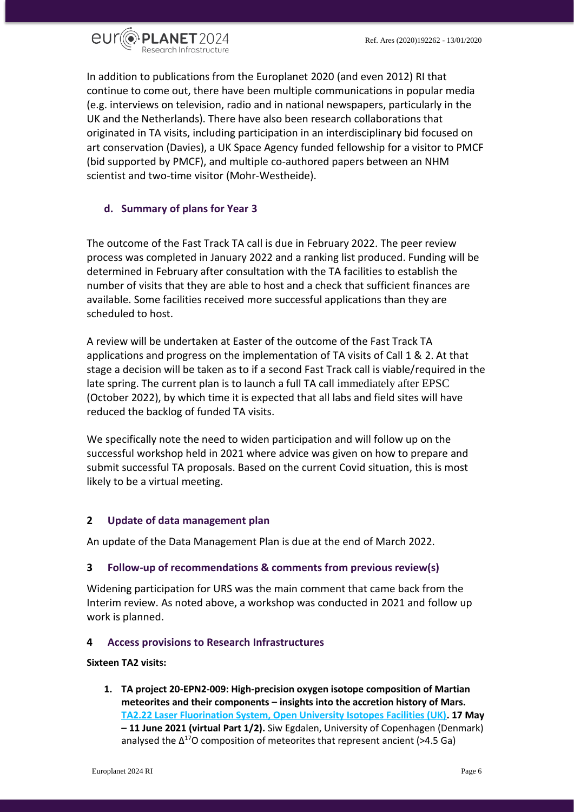

In addition to publications from the Europlanet 2020 (and even 2012) RI that continue to come out, there have been multiple communications in popular media (e.g. interviews on television, radio and in national newspapers, particularly in the UK and the Netherlands). There have also been research collaborations that originated in TA visits, including participation in an interdisciplinary bid focused on art conservation (Davies), a UK Space Agency funded fellowship for a visitor to PMCF (bid supported by PMCF), and multiple co-authored papers between an NHM scientist and two-time visitor (Mohr-Westheide).

# <span id="page-5-0"></span>**d. Summary of plans for Year 3**

The outcome of the Fast Track TA call is due in February 2022. The peer review process was completed in January 2022 and a ranking list produced. Funding will be determined in February after consultation with the TA facilities to establish the number of visits that they are able to host and a check that sufficient finances are available. Some facilities received more successful applications than they are scheduled to host.

A review will be undertaken at Easter of the outcome of the Fast Track TA applications and progress on the implementation of TA visits of Call 1 & 2. At that stage a decision will be taken as to if a second Fast Track call is viable/required in the late spring. The current plan is to launch a full TA call immediately after EPSC (October 2022), by which time it is expected that all labs and field sites will have reduced the backlog of funded TA visits.

We specifically note the need to widen participation and will follow up on the successful workshop held in 2021 where advice was given on how to prepare and submit successful TA proposals. Based on the current Covid situation, this is most likely to be a virtual meeting.

# <span id="page-5-1"></span>**2 Update of data management plan**

An update of the Data Management Plan is due at the end of March 2022.

# <span id="page-5-2"></span>**3 Follow-up of recommendations & comments from previous review(s)**

Widening participation for URS was the main comment that came back from the Interim review. As noted above, a workshop was conducted in 2021 and follow up work is planned.

#### <span id="page-5-3"></span>**4 Access provisions to Research Infrastructures**

#### **Sixteen TA2 visits:**

**1. TA project 20-EPN2-009: High-precision oxygen isotope composition of Martian meteorites and their components – insights into the accretion history of Mars. [TA2.22 Laser Fluorination System, Open University Isotopes Facilities \(UK\).](https://www.europlanet-society.org/europlanet-2024-ri/ta2-dplf/ta2-facility-22-open-university-laser-fluorination-oxygen-isotope-facility/) 17 May – 11 June 2021 (virtual Part 1/2).** Siw Egdalen, University of Copenhagen (Denmark) analysed the  $\Delta^{17}$ O composition of meteorites that represent ancient (>4.5 Ga)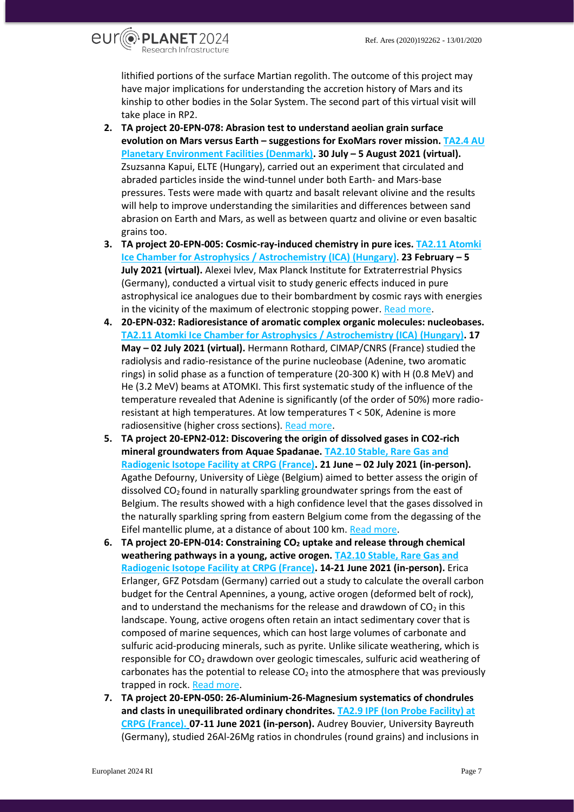eurlopLanet2024 Research Infrastructure

> lithified portions of the surface Martian regolith. The outcome of this project may have major implications for understanding the accretion history of Mars and its kinship to other bodies in the Solar System. The second part of this virtual visit will take place in RP2.

- **2. TA project 20-EPN-078: Abrasion test to understand aeolian grain surface evolution on Mars versus Earth – suggestions for ExoMars rover mission. [TA2.4 AU](https://www.europlanet-society.org/europlanet-2024-ri/ta2-dplf/ta2-facility-4-au-planetary-environment-facility/)  [Planetary Environment Facilities \(Denmark\).](https://www.europlanet-society.org/europlanet-2024-ri/ta2-dplf/ta2-facility-4-au-planetary-environment-facility/) 30 July – 5 August 2021 (virtual).** Zsuzsanna Kapui, ELTE (Hungary), carried out an experiment that circulated and abraded particles inside the wind-tunnel under both Earth- and Mars-base pressures. Tests were made with quartz and basalt relevant olivine and the results will help to improve understanding the similarities and differences between sand abrasion on Earth and Mars, as well as between quartz and olivine or even basaltic grains too.
- **3. TA project 20-EPN-005: Cosmic-ray-induced chemistry in pure ices. [TA2.11 Atomki](https://www.europlanet-society.org/europlanet-2024-ri/ta2-dplf/ta2-facility-11-atomki-ice-chamber-for-astrophysics-astrochemistry-ica/)  [Ice Chamber for Astrophysics / Astrochemistry \(ICA\)](https://www.europlanet-society.org/europlanet-2024-ri/ta2-dplf/ta2-facility-11-atomki-ice-chamber-for-astrophysics-astrochemistry-ica/) (Hungary)**. **23 February – 5 July 2021 (virtual).** Alexei Ivlev, Max Planck Institute for Extraterrestrial Physics (Germany), conducted a virtual visit to study generic effects induced in pure astrophysical ice analogues due to their bombardment by cosmic rays with energies in the vicinity of the maximum of electronic stopping power[. Read more.](https://www.europlanet-society.org/20-epn-005-cosmic-ray-induced-chemistry-in-pure-ices/)
- **4. 20-EPN-032: Radioresistance of aromatic complex organic molecules: nucleobases. [TA2.11 Atomki Ice Chamber for Astrophysics / Astrochemistry \(ICA\)](https://www.europlanet-society.org/europlanet-2024-ri/ta2-dplf/ta2-facility-11-atomki-ice-chamber-for-astrophysics-astrochemistry-ica/) (Hungary). 17 May – 02 July 2021 (virtual).** Hermann Rothard, CIMAP/CNRS (France) studied the radiolysis and radio-resistance of the purine nucleobase (Adenine, two aromatic rings) in solid phase as a function of temperature (20-300 K) with H (0.8 MeV) and He (3.2 MeV) beams at ATOMKI. This first systematic study of the influence of the temperature revealed that Adenine is significantly (of the order of 50%) more radioresistant at high temperatures. At low temperatures T < 50K, Adenine is more radiosensitive (higher cross sections)[. Read more.](https://www.europlanet-society.org/20-epn-032-radioresistance-of-aromatic-complex-organic-molecules/)
- **5. TA project 20-EPN2-012: Discovering the origin of dissolved gases in CO2-rich mineral groundwaters from Aquae Spadanae. [TA2.10 Stable, Rare Gas and](https://www.europlanet-society.org/europlanet-2024-ri/ta2-dplf/ta2-facility-10-stable-rare-gas-and-radiogenic-isotope-facility-at-crpg/)  [Radiogenic Isotope Facility at CRPG \(France\).](https://www.europlanet-society.org/europlanet-2024-ri/ta2-dplf/ta2-facility-10-stable-rare-gas-and-radiogenic-isotope-facility-at-crpg/) 21 June – 02 July 2021 (in-person).** Agathe Defourny, University of Liège (Belgium) aimed to better assess the origin of dissolved CO<sub>2</sub> found in naturally sparkling groundwater springs from the east of Belgium. The results showed with a high confidence level that the gases dissolved in the naturally sparkling spring from eastern Belgium come from the degassing of the Eifel mantellic plume, at a distance of about 100 km. [Read more.](https://www.europlanet-society.org/20-epn2-012-discovering-the-origin-of-dissolved-gases-in-co2-rich-mineral-groundwaters-from-aquae-spadanae/)
- **6. TA project 20-EPN-014: Constraining CO<sup>2</sup> uptake and release through chemical weathering pathways in a young, active orogen. [TA2.10 Stable, Rare Gas and](https://www.europlanet-society.org/europlanet-2024-ri/ta2-dplf/ta2-facility-10-stable-rare-gas-and-radiogenic-isotope-facility-at-crpg/)  [Radiogenic Isotope Facility at CRPG \(France\).](https://www.europlanet-society.org/europlanet-2024-ri/ta2-dplf/ta2-facility-10-stable-rare-gas-and-radiogenic-isotope-facility-at-crpg/) 14-21 June 2021 (in-person).** Erica Erlanger, GFZ Potsdam (Germany) carried out a study to calculate the overall carbon budget for the Central Apennines, a young, active orogen (deformed belt of rock), and to understand the mechanisms for the release and drawdown of  $CO<sub>2</sub>$  in this landscape. Young, active orogens often retain an intact sedimentary cover that is composed of marine sequences, which can host large volumes of carbonate and sulfuric acid-producing minerals, such as pyrite. Unlike silicate weathering, which is responsible for CO<sub>2</sub> drawdown over geologic timescales, sulfuric acid weathering of carbonates has the potential to release  $CO<sub>2</sub>$  into the atmosphere that was previously trapped in rock[. Read more.](https://www.europlanet-society.org/20-epn-014-constraining-co2-uptake-and-release-through-chemical-weathering-pathways-in-a-young-active-orogen/)
- **7. TA project 20-EPN-050: 26-Aluminium-26-Magnesium systematics of chondrules and clasts in unequilibrated ordinary chondrites. [TA2.9 IPF \(Ion Probe Facility\) at](https://www.europlanet-society.org/europlanet-2024-ri/ta2-dplf/ta2-facility-9-ion-probe-facility-at-crpg/)  [CRPG \(France\).](https://www.europlanet-society.org/europlanet-2024-ri/ta2-dplf/ta2-facility-9-ion-probe-facility-at-crpg/) 07-11 June 2021 (in-person).** Audrey Bouvier, University Bayreuth (Germany), studied 26Al-26Mg ratios in chondrules (round grains) and inclusions in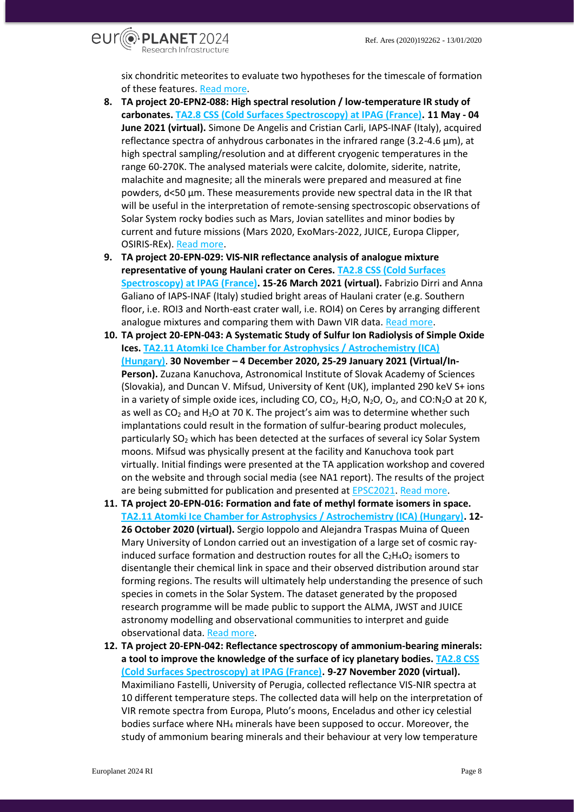

six chondritic meteorites to evaluate two hypotheses for the timescale of formation of these features. [Read more.](https://www.europlanet-society.org/20-epn-050-26-aluminium-26-magnesium-systematics-of-chondrules-and-clasts-in-unequilibriated-ordinary-chondrites/)

- **8. TA project 20-EPN2-088: High spectral resolution / low-temperature IR study of carbonates. [TA2.8 CSS \(Cold Surfaces Spectroscopy\) at IPAG \(France\).](https://www.europlanet-society.org/europlanet-2024-ri/ta2-dplf/ta2-facility-8-cold-surfaces-spectroscopy-at-ipag/) 11 May - 04 June 2021 (virtual).** Simone De Angelis and Cristian Carli, IAPS-INAF (Italy), acquired reflectance spectra of anhydrous carbonates in the infrared range (3.2-4.6 μm), at high spectral sampling/resolution and at different cryogenic temperatures in the range 60-270K. The analysed materials were calcite, dolomite, siderite, natrite, malachite and magnesite; all the minerals were prepared and measured at fine powders, d<50 μm. These measurements provide new spectral data in the IR that will be useful in the interpretation of remote-sensing spectroscopic observations of Solar System rocky bodies such as Mars, Jovian satellites and minor bodies by current and future missions (Mars 2020, ExoMars-2022, JUICE, Europa Clipper, OSIRIS-REx). [Read more.](https://www.europlanet-society.org/20-epn2-088-high-spectral-resolution-low-temperature-ir-study-of-carbonates/)
- **9. TA project 20-EPN-029: VIS-NIR reflectance analysis of analogue mixture representative of young Haulani crater on Ceres. [TA2.8 CSS \(Cold Surfaces](https://www.europlanet-society.org/europlanet-2024-ri/ta2-dplf/ta2-facility-8-cold-surfaces-spectroscopy-at-ipag/)  [Spectroscopy\) at IPAG \(France\).](https://www.europlanet-society.org/europlanet-2024-ri/ta2-dplf/ta2-facility-8-cold-surfaces-spectroscopy-at-ipag/) 15-26 March 2021 (virtual).** Fabrizio Dirri and Anna Galiano of IAPS-INAF (Italy) studied bright areas of Haulani crater (e.g. Southern floor, i.e. ROI3 and North-east crater wall, i.e. ROI4) on Ceres by arranging different analogue mixtures and comparing them with Dawn VIR data. [Read more.](https://www.europlanet-society.org/20-epn-029-vis-nir-reflectance-analysis-of-analogue-mixture-representative-of-young-haulani-crater-on-ceres-to-assess-the-mineralogical-composition-of-bright-areas/)
- **10. TA project 20-EPN-043: A Systematic Study of Sulfur Ion Radiolysis of Simple Oxide Ices. [TA2.11 Atomki Ice Chamber for Astrophysics / Astrochemistry \(ICA\)](https://www.europlanet-society.org/europlanet-2024-ri/ta2-dplf/ta2-facility-11-atomki-ice-chamber-for-astrophysics-astrochemistry-ica/) [\(Hungary\)](https://www.europlanet-society.org/europlanet-2024-ri/ta2-dplf/ta2-facility-11-atomki-ice-chamber-for-astrophysics-astrochemistry-ica/)**. **30 November – 4 December 2020, 25-29 January 2021 (Virtual/In-**Person). Zuzana Kanuchova, Astronomical Institute of Slovak Academy of Sciences (Slovakia), and Duncan V. Mifsud, University of Kent (UK), implanted 290 keV S+ ions in a variety of simple oxide ices, including CO,  $CO<sub>2</sub>$ , H<sub>2</sub>O, N<sub>2</sub>O, O<sub>2</sub>, and CO:N<sub>2</sub>O at 20 K, as well as  $CO<sub>2</sub>$  and H<sub>2</sub>O at 70 K. The project's aim was to determine whether such implantations could result in the formation of sulfur-bearing product molecules, particularly SO<sub>2</sub> which has been detected at the surfaces of several icy Solar System moons. Mifsud was physically present at the facility and Kanuchova took part virtually. Initial findings were presented at the TA application workshop and covered on the website and through social media (see NA1 report). The results of the project are being submitted for publication and presented a[t EPSC2021.](https://meetingorganizer.copernicus.org/EPSC2021/EPSC2021-247.html) [Read more.](https://www.europlanet-society.org/20-epn-043-a-systematic-study-of-sulfur-ion-radiolysis-of-simple-oxide-ices/)
- **11. TA project 20-EPN-016: Formation and fate of methyl formate isomers in space. [TA2.11 Atomki Ice Chamber for Astrophysics / Astrochemistry \(ICA\) \(Hungary\).](https://www.europlanet-society.org/europlanet-2024-ri/ta2-dplf/ta2-facility-11-atomki-ice-chamber-for-astrophysics-astrochemistry-ica/) 12- 26 October 2020 (virtual).** Sergio Ioppolo and Alejandra Traspas Muina of Queen Mary University of London carried out an investigation of a large set of cosmic rayinduced surface formation and destruction routes for all the  $C_2H_4O_2$  isomers to disentangle their chemical link in space and their observed distribution around star forming regions. The results will ultimately help understanding the presence of such species in comets in the Solar System. The dataset generated by the proposed research programme will be made public to support the ALMA, JWST and JUICE astronomy modelling and observational communities to interpret and guide observational data. [Read more.](https://www.europlanet-society.org/20-epn-016-formation-and-fate-of-methyl-formate-isomers-in-space/)
- **12. TA project 20-EPN-042: Reflectance spectroscopy of ammonium-bearing minerals: a tool to improve the knowledge of the surface of icy planetary bodies. [TA2.8 CSS](https://www.europlanet-society.org/europlanet-2024-ri/ta2-dplf/ta2-facility-8-cold-surfaces-spectroscopy-at-ipag/)  [\(Cold Surfaces Spectroscopy\) at IPAG \(France\).](https://www.europlanet-society.org/europlanet-2024-ri/ta2-dplf/ta2-facility-8-cold-surfaces-spectroscopy-at-ipag/) 9-27 November 2020 (virtual).** Maximiliano Fastelli, University of Perugia, collected reflectance VIS-NIR spectra at 10 different temperature steps. The collected data will help on the interpretation of VIR remote spectra from Europa, Pluto's moons, Enceladus and other icy celestial bodies surface where NH<sup>4</sup> minerals have been supposed to occur. Moreover, the study of ammonium bearing minerals and their behaviour at very low temperature